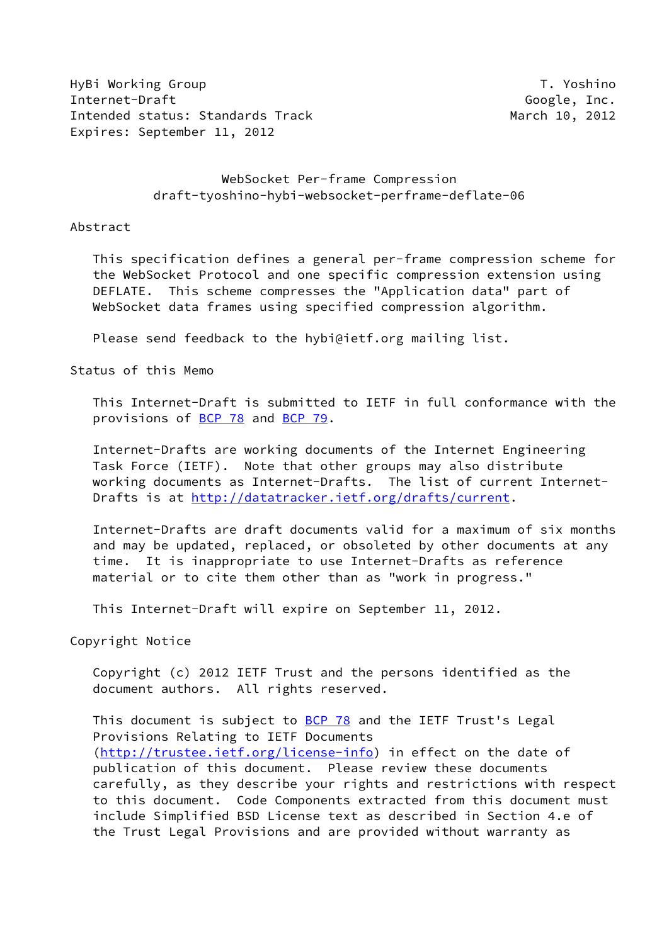HyBi Working Group T. Yoshino Internet-Draft Google, Inc. Intended status: Standards Track March 10, 2012 Expires: September 11, 2012

# WebSocket Per-frame Compression draft-tyoshino-hybi-websocket-perframe-deflate-06

Abstract

 This specification defines a general per-frame compression scheme for the WebSocket Protocol and one specific compression extension using DEFLATE. This scheme compresses the "Application data" part of WebSocket data frames using specified compression algorithm.

Please send feedback to the hybi@ietf.org mailing list.

Status of this Memo

 This Internet-Draft is submitted to IETF in full conformance with the provisions of [BCP 78](https://datatracker.ietf.org/doc/pdf/bcp78) and [BCP 79](https://datatracker.ietf.org/doc/pdf/bcp79).

 Internet-Drafts are working documents of the Internet Engineering Task Force (IETF). Note that other groups may also distribute working documents as Internet-Drafts. The list of current Internet- Drafts is at [http://datatracker.ietf.org/drafts/current.](http://datatracker.ietf.org/drafts/current)

 Internet-Drafts are draft documents valid for a maximum of six months and may be updated, replaced, or obsoleted by other documents at any time. It is inappropriate to use Internet-Drafts as reference material or to cite them other than as "work in progress."

This Internet-Draft will expire on September 11, 2012.

Copyright Notice

 Copyright (c) 2012 IETF Trust and the persons identified as the document authors. All rights reserved.

This document is subject to [BCP 78](https://datatracker.ietf.org/doc/pdf/bcp78) and the IETF Trust's Legal Provisions Relating to IETF Documents [\(http://trustee.ietf.org/license-info](http://trustee.ietf.org/license-info)) in effect on the date of publication of this document. Please review these documents carefully, as they describe your rights and restrictions with respect to this document. Code Components extracted from this document must include Simplified BSD License text as described in Section 4.e of the Trust Legal Provisions and are provided without warranty as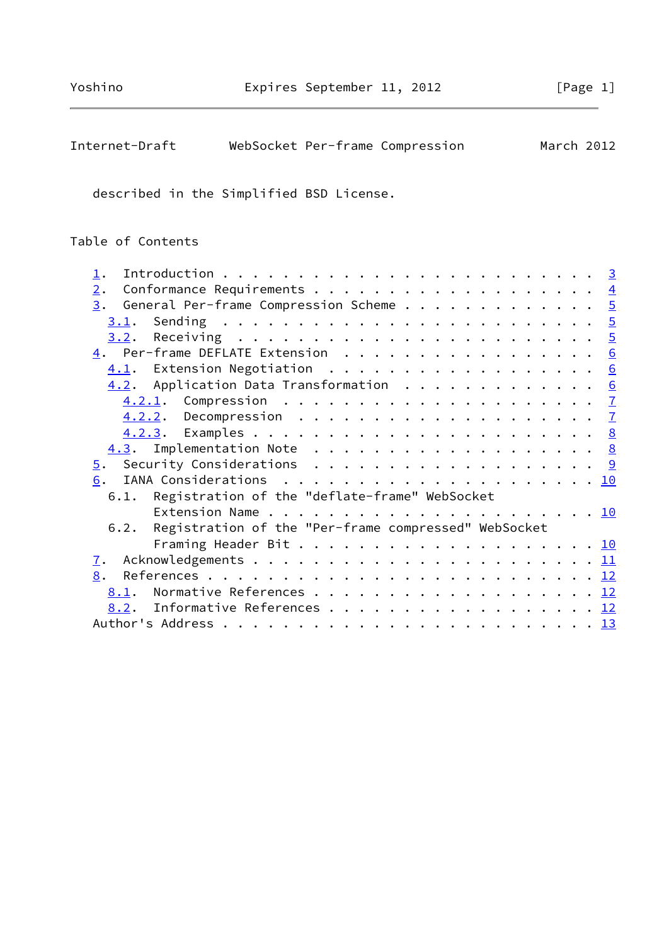| Internet-Draft<br>WebSocket Per-frame Compression                    |  | March 2012       |
|----------------------------------------------------------------------|--|------------------|
| described in the Simplified BSD License.                             |  |                  |
| Table of Contents                                                    |  |                  |
| $\perp$ .                                                            |  | $\overline{3}$   |
| 2.                                                                   |  | $\overline{4}$   |
| 3.                                                                   |  |                  |
|                                                                      |  |                  |
| Receiving $\ldots \ldots \ldots \ldots \ldots \ldots \ldots$<br>3.2. |  | $\frac{1}{5}$    |
| $\underline{4}$ . Per-frame DEFLATE Extension                        |  | $6 \overline{6}$ |
| 4.1.                                                                 |  | $\underline{6}$  |
| 4.2. Application Data Transformation                                 |  | $\underline{6}$  |
|                                                                      |  | $\mathbf{Z}$     |
|                                                                      |  | $\overline{1}$   |
|                                                                      |  |                  |
| Implementation Note $\ldots$ 8<br>4.3.                               |  |                  |
| Security Considerations $\cdots$ 9<br>$\overline{5}$ .               |  |                  |
| 6.                                                                   |  |                  |
| Registration of the "deflate-frame" WebSocket<br>6.1.                |  |                  |
|                                                                      |  |                  |
| Registration of the "Per-frame compressed" WebSocket<br>6.2.         |  |                  |
|                                                                      |  |                  |
| $\mathbf{I}$ .                                                       |  |                  |
| 8.                                                                   |  |                  |
| 8.1.                                                                 |  |                  |
| Informative References 12<br>8.2.                                    |  |                  |
|                                                                      |  |                  |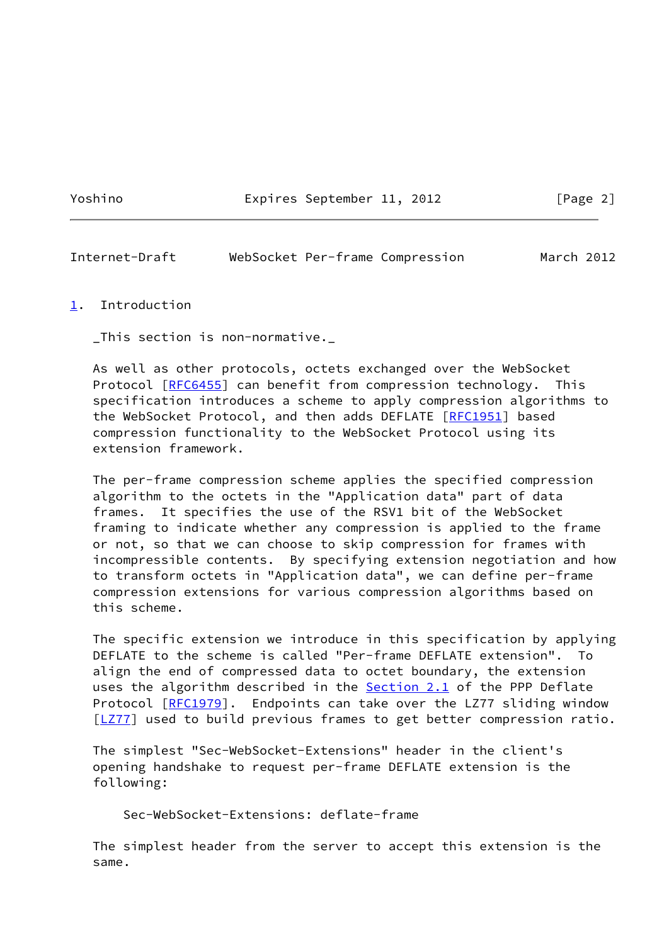Yoshino **Expires September 11, 2012** [Page 2]

<span id="page-2-1"></span>Internet-Draft WebSocket Per-frame Compression March 2012

#### <span id="page-2-0"></span>[1](#page-2-0). Introduction

\_This section is non-normative.\_

 As well as other protocols, octets exchanged over the WebSocket Protocol [\[RFC6455](https://datatracker.ietf.org/doc/pdf/rfc6455)] can benefit from compression technology. This specification introduces a scheme to apply compression algorithms to the WebSocket Protocol, and then adds DEFLATE [[RFC1951](https://datatracker.ietf.org/doc/pdf/rfc1951)] based compression functionality to the WebSocket Protocol using its extension framework.

 The per-frame compression scheme applies the specified compression algorithm to the octets in the "Application data" part of data frames. It specifies the use of the RSV1 bit of the WebSocket framing to indicate whether any compression is applied to the frame or not, so that we can choose to skip compression for frames with incompressible contents. By specifying extension negotiation and how to transform octets in "Application data", we can define per-frame compression extensions for various compression algorithms based on this scheme.

 The specific extension we introduce in this specification by applying DEFLATE to the scheme is called "Per-frame DEFLATE extension". To align the end of compressed data to octet boundary, the extension uses the algorithm described in the **Section 2.1** of the PPP Deflate Protocol [\[RFC1979](https://datatracker.ietf.org/doc/pdf/rfc1979)]. Endpoints can take over the LZ77 sliding window [\[LZ77](#page-12-4)] used to build previous frames to get better compression ratio.

 The simplest "Sec-WebSocket-Extensions" header in the client's opening handshake to request per-frame DEFLATE extension is the following:

Sec-WebSocket-Extensions: deflate-frame

 The simplest header from the server to accept this extension is the same.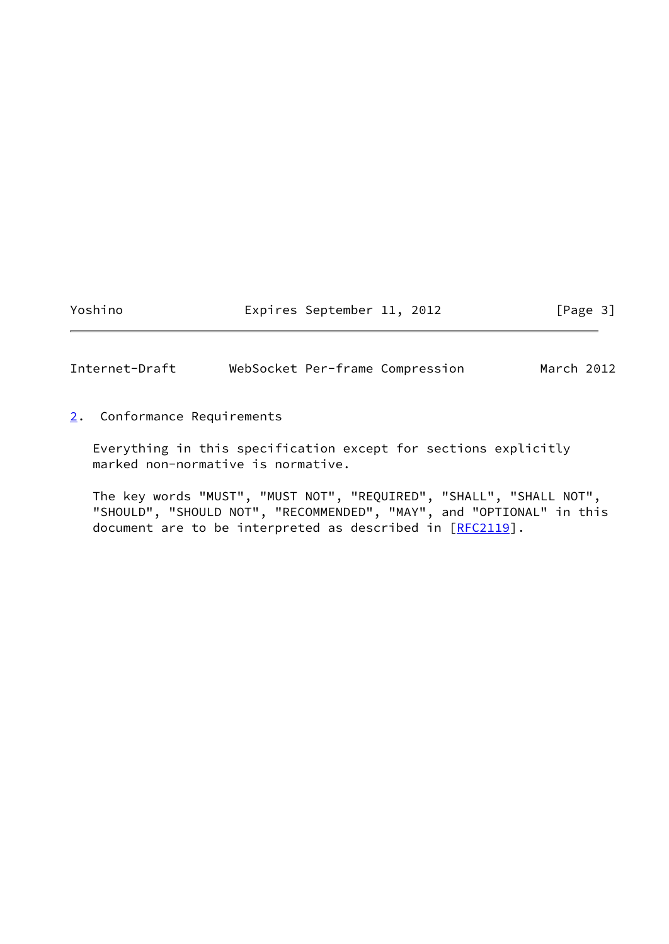Yoshino **Expires September 11, 2012** [Page 3]

<span id="page-3-1"></span>Internet-Draft WebSocket Per-frame Compression March 2012

<span id="page-3-0"></span>[2](#page-3-0). Conformance Requirements

 Everything in this specification except for sections explicitly marked non-normative is normative.

 The key words "MUST", "MUST NOT", "REQUIRED", "SHALL", "SHALL NOT", "SHOULD", "SHOULD NOT", "RECOMMENDED", "MAY", and "OPTIONAL" in this document are to be interpreted as described in [\[RFC2119](https://datatracker.ietf.org/doc/pdf/rfc2119)].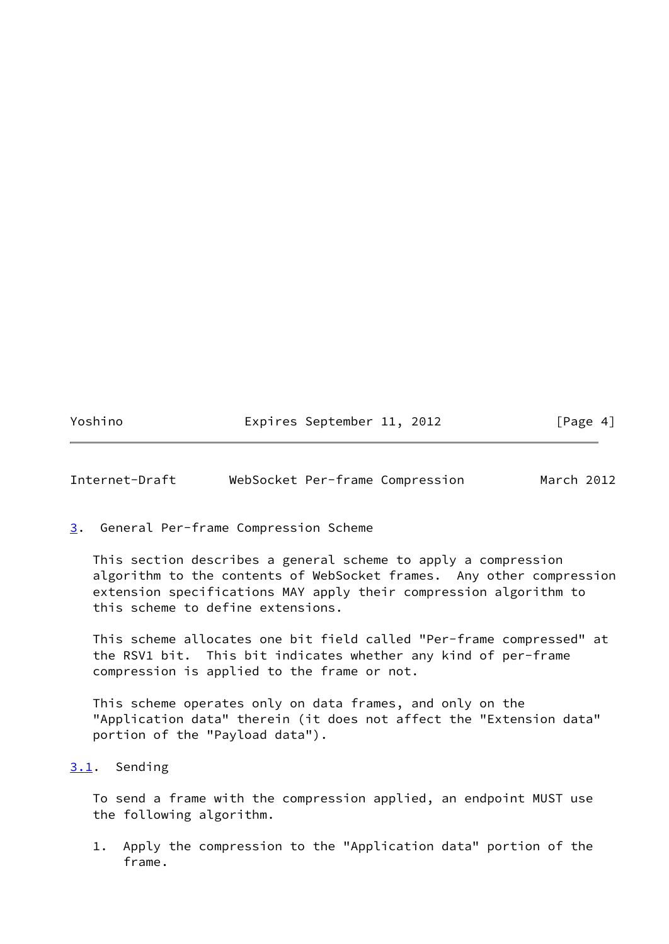Yoshino Expires September 11, 2012 [Page 4]

<span id="page-4-1"></span>Internet-Draft WebSocket Per-frame Compression March 2012

# <span id="page-4-0"></span>[3](#page-4-0). General Per-frame Compression Scheme

 This section describes a general scheme to apply a compression algorithm to the contents of WebSocket frames. Any other compression extension specifications MAY apply their compression algorithm to this scheme to define extensions.

 This scheme allocates one bit field called "Per-frame compressed" at the RSV1 bit. This bit indicates whether any kind of per-frame compression is applied to the frame or not.

 This scheme operates only on data frames, and only on the "Application data" therein (it does not affect the "Extension data" portion of the "Payload data").

# <span id="page-4-2"></span>[3.1](#page-4-2). Sending

 To send a frame with the compression applied, an endpoint MUST use the following algorithm.

 1. Apply the compression to the "Application data" portion of the frame.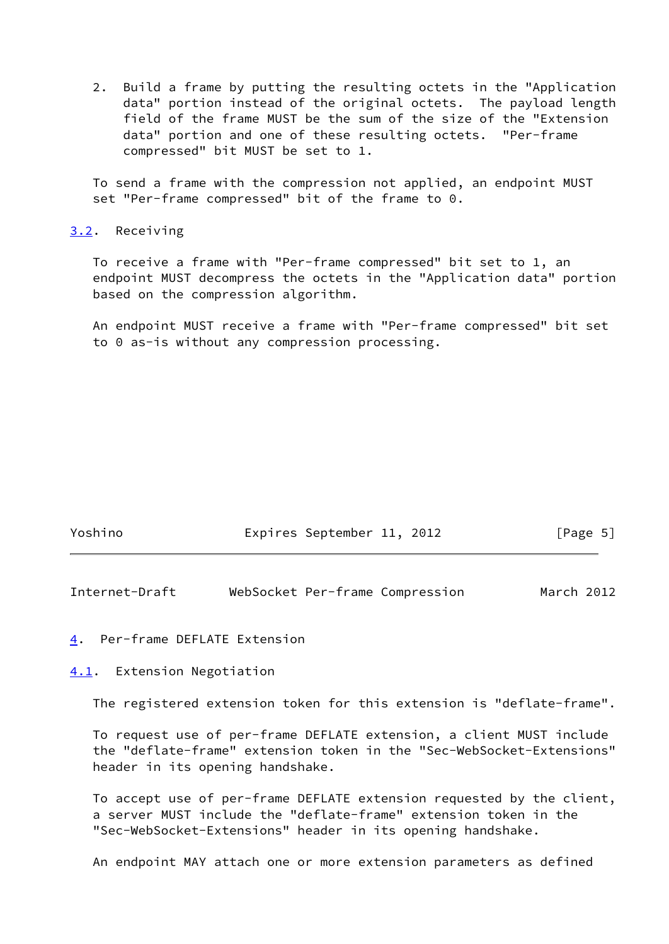2. Build a frame by putting the resulting octets in the "Application data" portion instead of the original octets. The payload length field of the frame MUST be the sum of the size of the "Extension data" portion and one of these resulting octets. "Per-frame compressed" bit MUST be set to 1.

 To send a frame with the compression not applied, an endpoint MUST set "Per-frame compressed" bit of the frame to 0.

#### <span id="page-5-0"></span>[3.2](#page-5-0). Receiving

 To receive a frame with "Per-frame compressed" bit set to 1, an endpoint MUST decompress the octets in the "Application data" portion based on the compression algorithm.

 An endpoint MUST receive a frame with "Per-frame compressed" bit set to 0 as-is without any compression processing.

| Yoshino | Expires September 11, 2012 |  | [Page 5] |  |
|---------|----------------------------|--|----------|--|
|         |                            |  |          |  |

<span id="page-5-2"></span>Internet-Draft WebSocket Per-frame Compression March 2012

<span id="page-5-1"></span>[4](#page-5-1). Per-frame DEFLATE Extension

<span id="page-5-3"></span>[4.1](#page-5-3). Extension Negotiation

The registered extension token for this extension is "deflate-frame".

 To request use of per-frame DEFLATE extension, a client MUST include the "deflate-frame" extension token in the "Sec-WebSocket-Extensions" header in its opening handshake.

 To accept use of per-frame DEFLATE extension requested by the client, a server MUST include the "deflate-frame" extension token in the "Sec-WebSocket-Extensions" header in its opening handshake.

An endpoint MAY attach one or more extension parameters as defined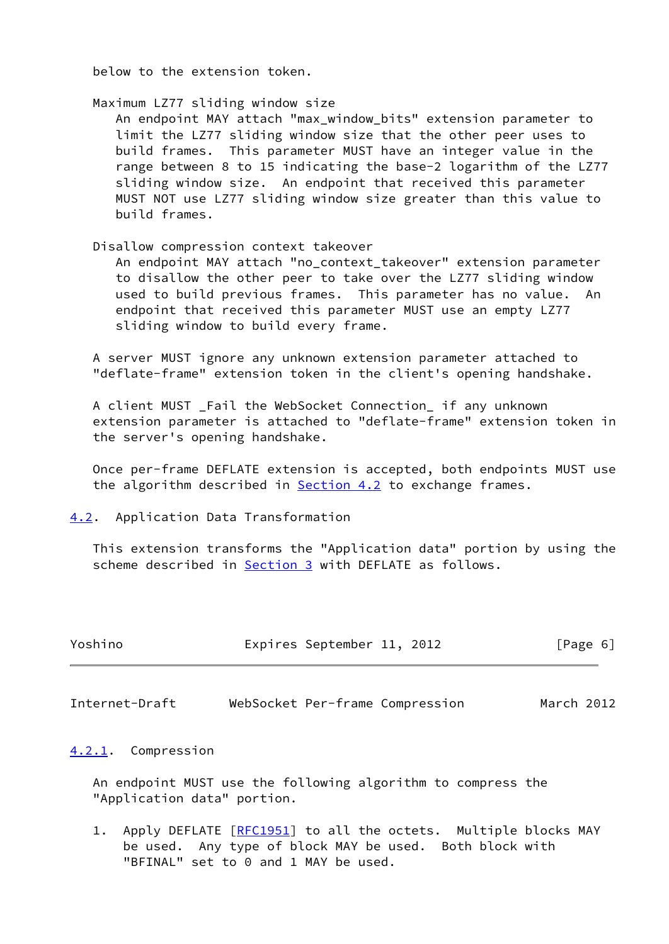below to the extension token.

Maximum LZ77 sliding window size

 An endpoint MAY attach "max\_window\_bits" extension parameter to limit the LZ77 sliding window size that the other peer uses to build frames. This parameter MUST have an integer value in the range between 8 to 15 indicating the base-2 logarithm of the LZ77 sliding window size. An endpoint that received this parameter MUST NOT use LZ77 sliding window size greater than this value to build frames.

# Disallow compression context takeover

 An endpoint MAY attach "no\_context\_takeover" extension parameter to disallow the other peer to take over the LZ77 sliding window used to build previous frames. This parameter has no value. An endpoint that received this parameter MUST use an empty LZ77 sliding window to build every frame.

 A server MUST ignore any unknown extension parameter attached to "deflate-frame" extension token in the client's opening handshake.

 A client MUST \_Fail the WebSocket Connection\_ if any unknown extension parameter is attached to "deflate-frame" extension token in the server's opening handshake.

 Once per-frame DEFLATE extension is accepted, both endpoints MUST use the algorithm described in **[Section 4.2](#page-6-0)** to exchange frames.

<span id="page-6-0"></span>[4.2](#page-6-0). Application Data Transformation

 This extension transforms the "Application data" portion by using the scheme described in [Section 3](#page-4-0) with DEFLATE as follows.

| Yoshino | Expires September 11, 2012 | [Page 6] |
|---------|----------------------------|----------|
|         |                            |          |

<span id="page-6-2"></span>Internet-Draft WebSocket Per-frame Compression March 2012

#### <span id="page-6-1"></span>[4.2.1](#page-6-1). Compression

 An endpoint MUST use the following algorithm to compress the "Application data" portion.

1. Apply DEFLATE [[RFC1951](https://datatracker.ietf.org/doc/pdf/rfc1951)] to all the octets. Multiple blocks MAY be used. Any type of block MAY be used. Both block with "BFINAL" set to 0 and 1 MAY be used.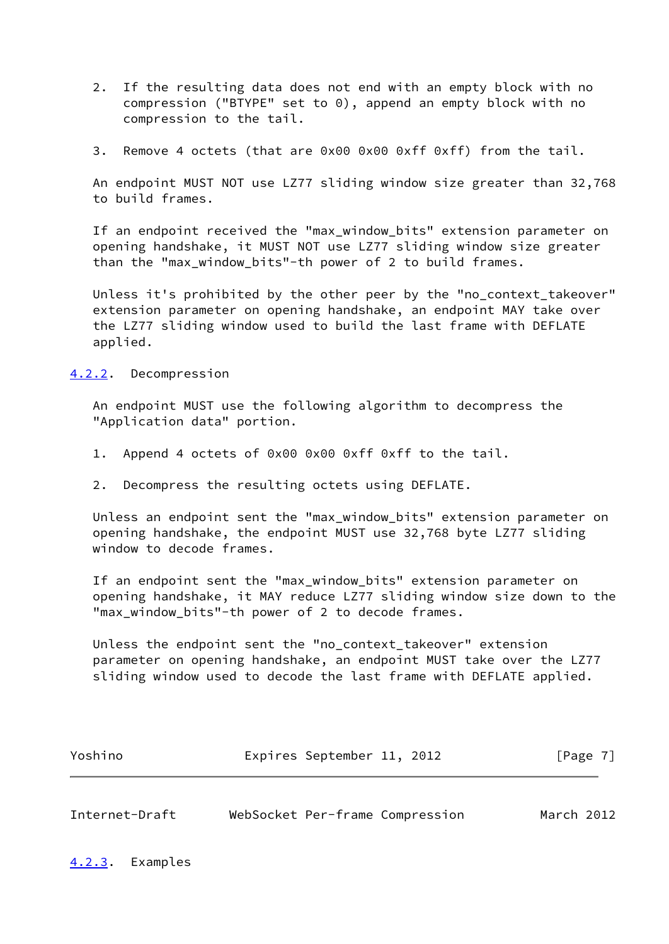- 2. If the resulting data does not end with an empty block with no compression ("BTYPE" set to 0), append an empty block with no compression to the tail.
- 3. Remove 4 octets (that are 0x00 0x00 0xff 0xff) from the tail.

 An endpoint MUST NOT use LZ77 sliding window size greater than 32,768 to build frames.

 If an endpoint received the "max\_window\_bits" extension parameter on opening handshake, it MUST NOT use LZ77 sliding window size greater than the "max\_window\_bits"-th power of 2 to build frames.

 Unless it's prohibited by the other peer by the "no\_context\_takeover" extension parameter on opening handshake, an endpoint MAY take over the LZ77 sliding window used to build the last frame with DEFLATE applied.

<span id="page-7-0"></span>[4.2.2](#page-7-0). Decompression

 An endpoint MUST use the following algorithm to decompress the "Application data" portion.

- 1. Append 4 octets of 0x00 0x00 0xff 0xff to the tail.
- 2. Decompress the resulting octets using DEFLATE.

 Unless an endpoint sent the "max\_window\_bits" extension parameter on opening handshake, the endpoint MUST use 32,768 byte LZ77 sliding window to decode frames.

 If an endpoint sent the "max\_window\_bits" extension parameter on opening handshake, it MAY reduce LZ77 sliding window size down to the "max window bits"-th power of 2 to decode frames.

 Unless the endpoint sent the "no\_context\_takeover" extension parameter on opening handshake, an endpoint MUST take over the LZ77 sliding window used to decode the last frame with DEFLATE applied.

| Yoshino |  | Expires September 11, 2012 |  | [Page 7] |
|---------|--|----------------------------|--|----------|
|---------|--|----------------------------|--|----------|

<span id="page-7-2"></span><span id="page-7-1"></span>

| Internet-Draft |  | WebSocket Per-frame Compression | March 2012 |  |
|----------------|--|---------------------------------|------------|--|
|                |  |                                 |            |  |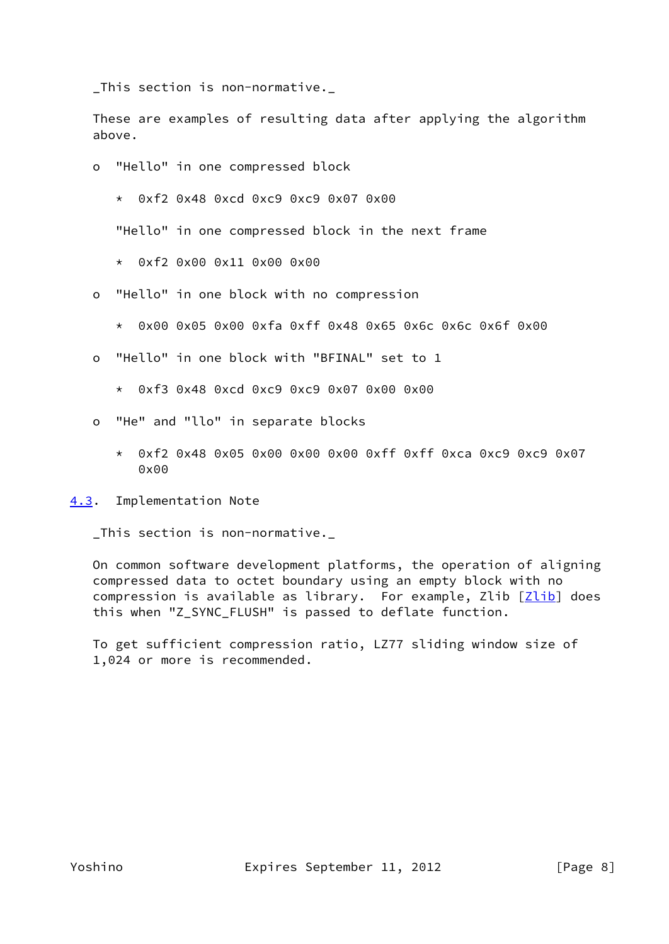\_This section is non-normative.\_

 These are examples of resulting data after applying the algorithm above.

- o "Hello" in one compressed block
	- \* 0xf2 0x48 0xcd 0xc9 0xc9 0x07 0x00

"Hello" in one compressed block in the next frame

- \* 0xf2 0x00 0x11 0x00 0x00
- o "Hello" in one block with no compression
	- \* 0x00 0x05 0x00 0xfa 0xff 0x48 0x65 0x6c 0x6c 0x6f 0x00
- o "Hello" in one block with "BFINAL" set to 1
	- \* 0xf3 0x48 0xcd 0xc9 0xc9 0x07 0x00 0x00
- o "He" and "llo" in separate blocks
	- \* 0xf2 0x48 0x05 0x00 0x00 0x00 0xff 0xff 0xca 0xc9 0xc9 0x07  $0x00$

<span id="page-8-0"></span>[4.3](#page-8-0). Implementation Note

\_This section is non-normative.\_

 On common software development platforms, the operation of aligning compressed data to octet boundary using an empty block with no compression is available as library. For example, Zlib  $[Zlib]$  $[Zlib]$  does this when "Z\_SYNC\_FLUSH" is passed to deflate function.

 To get sufficient compression ratio, LZ77 sliding window size of 1,024 or more is recommended.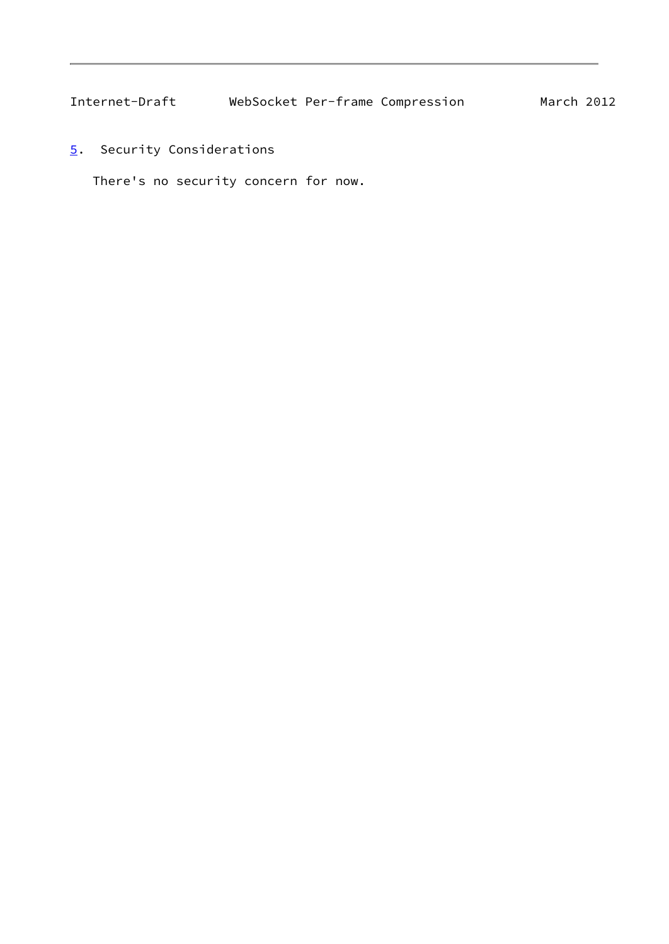<span id="page-9-1"></span><span id="page-9-0"></span>[5](#page-9-0). Security Considerations

There's no security concern for now.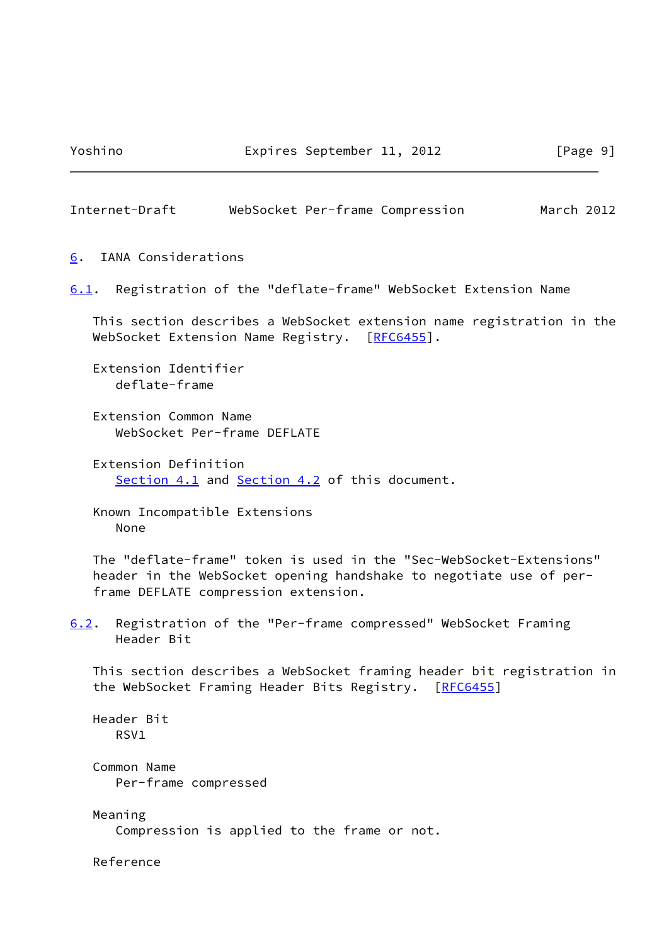<span id="page-10-1"></span>

| Internet-Draft |  | WebSocket Per-frame Compression | March 2012 |  |
|----------------|--|---------------------------------|------------|--|
|                |  |                                 |            |  |

<span id="page-10-0"></span>[6](#page-10-0). IANA Considerations

<span id="page-10-2"></span>[6.1](#page-10-2). Registration of the "deflate-frame" WebSocket Extension Name

 This section describes a WebSocket extension name registration in the WebSocket Extension Name Registry. [\[RFC6455](https://datatracker.ietf.org/doc/pdf/rfc6455)].

 Extension Identifier deflate-frame

 Extension Common Name WebSocket Per-frame DEFLATE

 Extension Definition [Section 4.1](#page-5-3) and [Section 4.2](#page-6-0) of this document.

 Known Incompatible Extensions None

 The "deflate-frame" token is used in the "Sec-WebSocket-Extensions" header in the WebSocket opening handshake to negotiate use of per frame DEFLATE compression extension.

<span id="page-10-3"></span>[6.2](#page-10-3). Registration of the "Per-frame compressed" WebSocket Framing Header Bit

 This section describes a WebSocket framing header bit registration in the WebSocket Framing Header Bits Registry. [\[RFC6455](https://datatracker.ietf.org/doc/pdf/rfc6455)]

 Header Bit RSV1

 Common Name Per-frame compressed

 Meaning Compression is applied to the frame or not.

Reference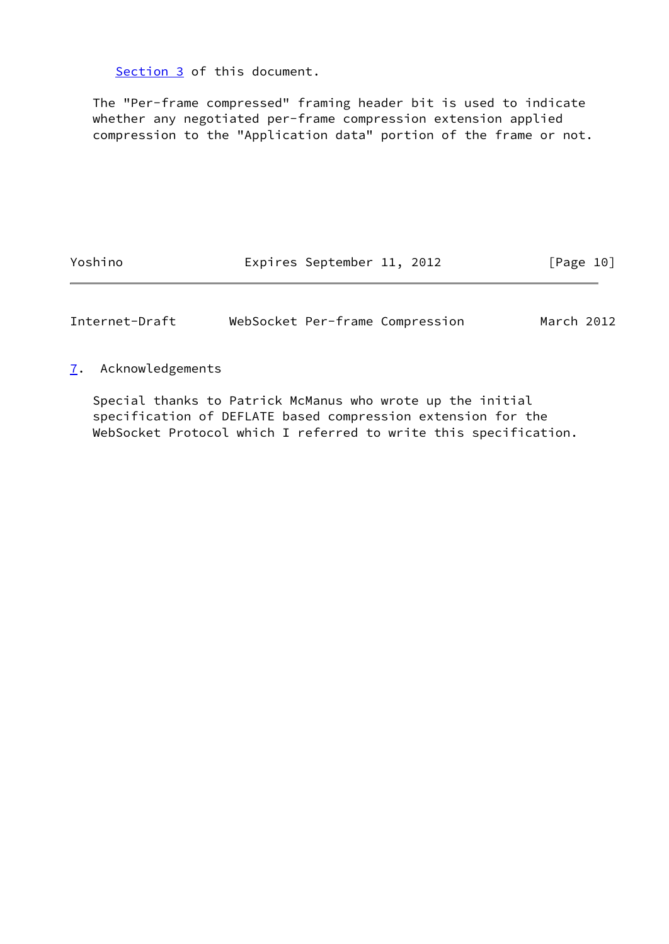[Section 3](#page-4-0) of this document.

 The "Per-frame compressed" framing header bit is used to indicate whether any negotiated per-frame compression extension applied compression to the "Application data" portion of the frame or not.

Yoshino Expires September 11, 2012 [Page 10]

<span id="page-11-1"></span>Internet-Draft WebSocket Per-frame Compression March 2012

<span id="page-11-0"></span>[7](#page-11-0). Acknowledgements

 Special thanks to Patrick McManus who wrote up the initial specification of DEFLATE based compression extension for the WebSocket Protocol which I referred to write this specification.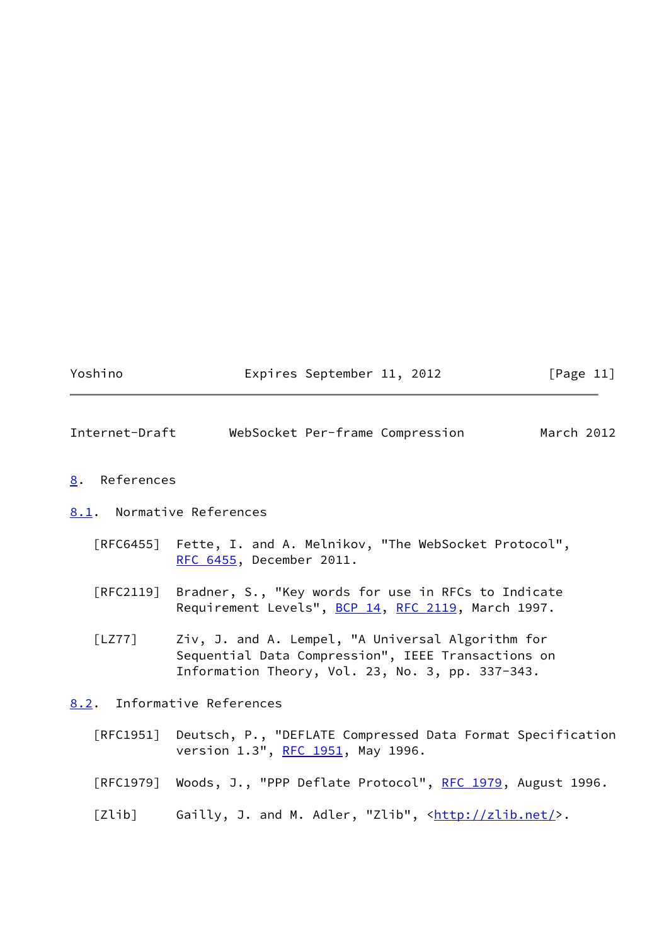Yoshino Expires September 11, 2012 [Page 11]

<span id="page-12-1"></span>

|  | Internet-Draft |  |  | WebSocket Per-frame Compression | March 2012 |  |
|--|----------------|--|--|---------------------------------|------------|--|
|--|----------------|--|--|---------------------------------|------------|--|

### <span id="page-12-0"></span>[8](#page-12-0). References

#### <span id="page-12-2"></span>[8.1](#page-12-2). Normative References

- [RFC6455] Fette, I. and A. Melnikov, "The WebSocket Protocol", [RFC 6455,](https://datatracker.ietf.org/doc/pdf/rfc6455) December 2011.
- [RFC2119] Bradner, S., "Key words for use in RFCs to Indicate Requirement Levels", [BCP 14](https://datatracker.ietf.org/doc/pdf/bcp14), [RFC 2119](https://datatracker.ietf.org/doc/pdf/rfc2119), March 1997.
- <span id="page-12-4"></span> [LZ77] Ziv, J. and A. Lempel, "A Universal Algorithm for Sequential Data Compression", IEEE Transactions on Information Theory, Vol. 23, No. 3, pp. 337-343.

# <span id="page-12-3"></span>[8.2](#page-12-3). Informative References

- [RFC1951] Deutsch, P., "DEFLATE Compressed Data Format Specification version 1.3", [RFC 1951](https://datatracker.ietf.org/doc/pdf/rfc1951), May 1996.
- [RFC1979] Woods, J., "PPP Deflate Protocol", [RFC 1979](https://datatracker.ietf.org/doc/pdf/rfc1979), August 1996.
- <span id="page-12-5"></span>[Zlib] Gailly, J. and M. Adler, "Zlib",  $\frac{\text{http://zlib.net/}}{\text{http://zlib.net/}}$ .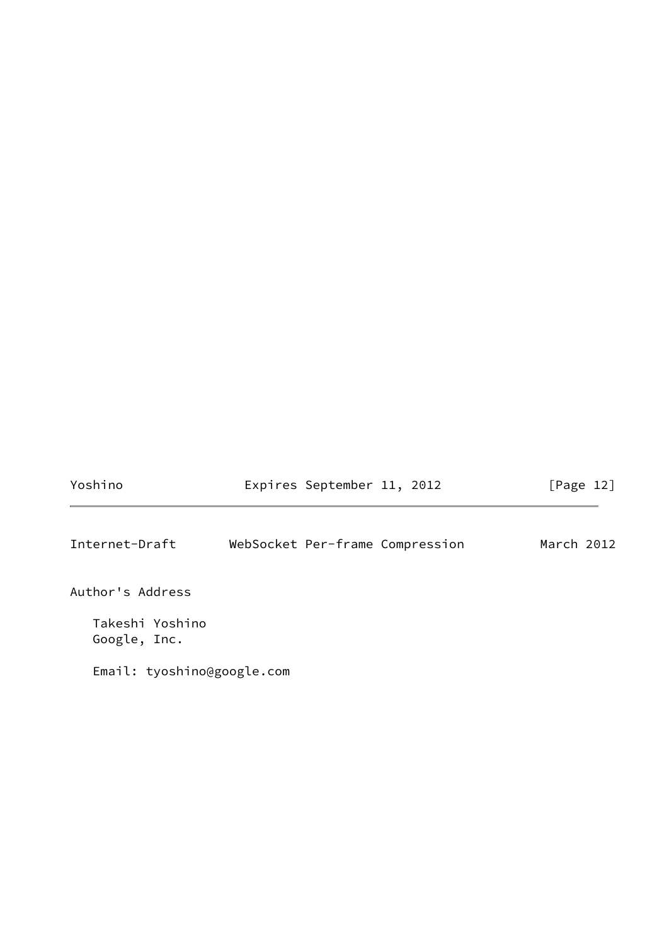<span id="page-13-0"></span>

| Yoshino                         | Expires September 11, 2012      | [Page 12]  |
|---------------------------------|---------------------------------|------------|
| Internet-Draft                  | WebSocket Per-frame Compression | March 2012 |
| Author's Address                |                                 |            |
| Takeshi Yoshino<br>Google, Inc. |                                 |            |
| Email: tyoshino@google.com      |                                 |            |